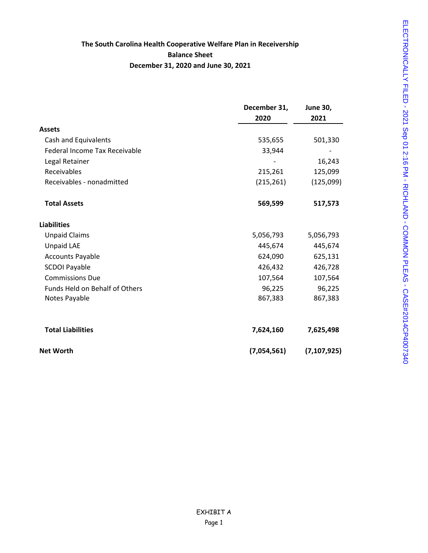#### **The South Carolina Health Cooperative Welfare Plan in Receivership Balance Sheet December 31, 2020 and June 30, 2021**

|                                       | December 31, | <b>June 30,</b> |  |
|---------------------------------------|--------------|-----------------|--|
|                                       | 2020         | 2021            |  |
| <b>Assets</b>                         |              |                 |  |
| Cash and Equivalents                  | 535,655      | 501,330         |  |
| Federal Income Tax Receivable         | 33,944       |                 |  |
| Legal Retainer                        |              | 16,243          |  |
| Receivables                           | 215,261      | 125,099         |  |
| Receivables - nonadmitted             | (215, 261)   | (125,099)       |  |
| <b>Total Assets</b>                   | 569,599      | 517,573         |  |
| <b>Liabilities</b>                    |              |                 |  |
| <b>Unpaid Claims</b>                  | 5,056,793    | 5,056,793       |  |
| <b>Unpaid LAE</b>                     | 445,674      | 445,674         |  |
| <b>Accounts Payable</b>               | 624,090      | 625,131         |  |
| <b>SCDOI Payable</b>                  | 426,432      | 426,728         |  |
| <b>Commissions Due</b>                | 107,564      | 107,564         |  |
| <b>Funds Held on Behalf of Others</b> | 96,225       | 96,225          |  |
| Notes Payable                         | 867,383      | 867,383         |  |
| <b>Total Liabilities</b>              | 7,624,160    | 7,625,498       |  |
| <b>Net Worth</b>                      | (7,054,561)  | (7, 107, 925)   |  |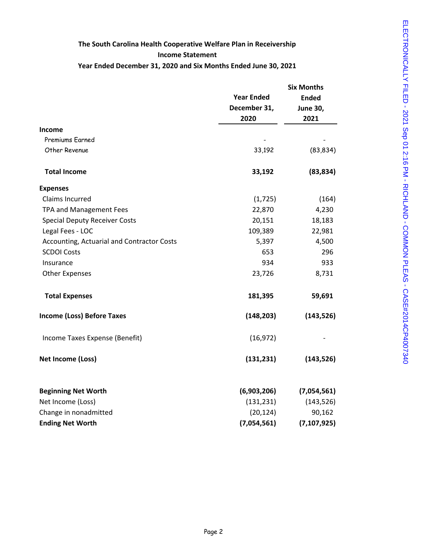# **The South Carolina Health Cooperative Welfare Plan in Receivership Income Statement**

#### **Year Ended December 31, 2020 and Six Months Ended June 30, 2021**

|                                            |                   | <b>Six Months</b> |  |  |
|--------------------------------------------|-------------------|-------------------|--|--|
|                                            | <b>Year Ended</b> | <b>Ended</b>      |  |  |
|                                            | December 31,      | <b>June 30,</b>   |  |  |
|                                            | 2020              | 2021              |  |  |
| Income                                     |                   |                   |  |  |
| Premiums Earned                            |                   |                   |  |  |
| Other Revenue                              | 33,192            | (83, 834)         |  |  |
| <b>Total Income</b>                        | 33,192            | (83, 834)         |  |  |
| <b>Expenses</b>                            |                   |                   |  |  |
| Claims Incurred                            | (1, 725)          | (164)             |  |  |
| TPA and Management Fees                    | 22,870            | 4,230             |  |  |
| <b>Special Deputy Receiver Costs</b>       | 20,151            | 18,183            |  |  |
| Legal Fees - LOC                           | 109,389           | 22,981            |  |  |
| Accounting, Actuarial and Contractor Costs | 5,397             | 4,500             |  |  |
| <b>SCDOI Costs</b>                         | 653               | 296               |  |  |
| Insurance                                  | 934               | 933               |  |  |
| <b>Other Expenses</b>                      | 23,726            | 8,731             |  |  |
| <b>Total Expenses</b>                      | 181,395           | 59,691            |  |  |
| <b>Income (Loss) Before Taxes</b>          | (148, 203)        | (143, 526)        |  |  |
| Income Taxes Expense (Benefit)             | (16, 972)         |                   |  |  |
| Net Income (Loss)                          | (131, 231)        | (143, 526)        |  |  |
| <b>Beginning Net Worth</b>                 | (6,903,206)       | (7,054,561)       |  |  |
| Net Income (Loss)                          | (131, 231)        | (143, 526)        |  |  |
| Change in nonadmitted                      | (20, 124)         | 90,162            |  |  |
| <b>Ending Net Worth</b>                    | (7,054,561)       | (7, 107, 925)     |  |  |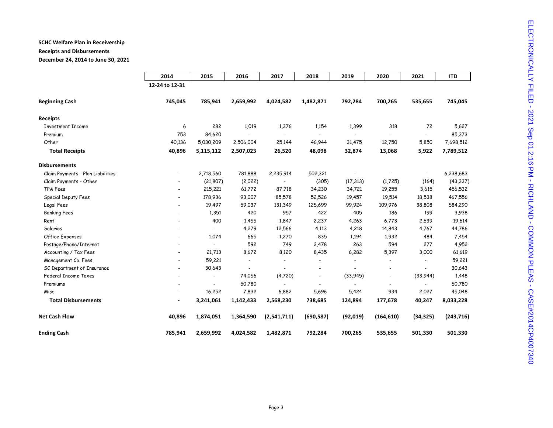### **SCHC Welfare Plan in Receivership**

## **Receipts and Disbursements**

**December 24, 2014 to June 30, 2021**

|                                   | 2014                     | 2015                     | 2016      | 2017        | 2018                     | 2019                     | 2020       | 2021                     | <b>ITD</b> |
|-----------------------------------|--------------------------|--------------------------|-----------|-------------|--------------------------|--------------------------|------------|--------------------------|------------|
|                                   | 12-24 to 12-31           |                          |           |             |                          |                          |            |                          |            |
| <b>Beginning Cash</b>             | 745,045                  | 785,941                  | 2,659,992 | 4,024,582   | 1,482,871                | 792,284                  | 700,265    | 535,655                  | 745,045    |
| <b>Receipts</b>                   |                          |                          |           |             |                          |                          |            |                          |            |
| <b>Investment Income</b>          | 6                        | 282                      | 1,019     | 1,376       | 1,154                    | 1,399                    | 318        | 72                       | 5,627      |
| Premium                           | 753                      | 84,620                   |           |             |                          | $\overline{\phantom{0}}$ |            | $\blacksquare$           | 85,373     |
| Other                             | 40,136                   | 5,030,209                | 2,506,004 | 25,144      | 46,944                   | 31,475                   | 12,750     | 5,850                    | 7,698,512  |
| <b>Total Receipts</b>             | 40,896                   | 5,115,112                | 2,507,023 | 26,520      | 48,098                   | 32,874                   | 13,068     | 5,922                    | 7,789,512  |
| <b>Disbursements</b>              |                          |                          |           |             |                          |                          |            |                          |            |
| Claim Payments - Plan Liabilities | $\overline{\phantom{a}}$ | 2,718,560                | 781,888   | 2,235,914   | 502,321                  | $\blacksquare$           |            | $\overline{\phantom{a}}$ | 6,238,683  |
| Claim Payments - Other            |                          | (21, 807)                | (2,022)   |             | (305)                    | (17, 313)                | (1,725)    | (164)                    | (43, 337)  |
| TPA Fees                          |                          | 215,221                  | 61,772    | 87,718      | 34,230                   | 34,721                   | 19,255     | 3,615                    | 456,532    |
| Special Deputy Fees               |                          | 178,936                  | 93,007    | 85,578      | 52,526                   | 19,457                   | 19,514     | 18,538                   | 467,556    |
| Legal Fees                        |                          | 19,497                   | 59,037    | 131,349     | 125,699                  | 99,924                   | 109,976    | 38,808                   | 584,290    |
| <b>Banking Fees</b>               |                          | 1,351                    | 420       | 957         | 422                      | 405                      | 186        | 199                      | 3,938      |
| Rent                              |                          | 400                      | 1,455     | 1,847       | 2,237                    | 4,263                    | 6,773      | 2,639                    | 19,614     |
| Salaries                          |                          |                          | 4,279     | 12,566      | 4,113                    | 4,218                    | 14,843     | 4,767                    | 44,786     |
| Office Expenses                   |                          | 1,074                    | 665       | 1,270       | 835                      | 1,194                    | 1,932      | 484                      | 7,454      |
| Postage/Phone/Internet            |                          |                          | 592       | 749         | 2,478                    | 263                      | 594        | 277                      | 4,952      |
| Accounting / Tax Fees             |                          | 21,713                   | 8,672     | 8,120       | 8,435                    | 6,282                    | 5,397      | 3,000                    | 61,619     |
| Management Co. Fees               |                          | 59,221                   |           |             |                          |                          |            |                          | 59,221     |
| SC Department of Insurance        |                          | 30,643                   |           |             | $\blacksquare$           |                          |            |                          | 30,643     |
| <b>Federal Income Taxes</b>       |                          | $\overline{\phantom{a}}$ | 74,056    | (4,720)     | $\overline{\phantom{a}}$ | (33,945)                 |            | (33,944)                 | 1,448      |
| Premiums                          |                          |                          | 50,780    |             | $\sim$                   | $\sim$                   | $\sim$     | $\sim$                   | 50,780     |
| Misc                              |                          | 16,252                   | 7,832     | 6,882       | 5,696                    | 5,424                    | 934        | 2,027                    | 45,048     |
| <b>Total Disbursements</b>        | $\blacksquare$           | 3,241,061                | 1,142,433 | 2,568,230   | 738,685                  | 124,894                  | 177,678    | 40,247                   | 8,033,228  |
| <b>Net Cash Flow</b>              | 40,896                   | 1,874,051                | 1,364,590 | (2,541,711) | (690, 587)               | (92, 019)                | (164, 610) | (34, 325)                | (243, 716) |
| <b>Ending Cash</b>                | 785,941                  | 2,659,992                | 4,024,582 | 1,482,871   | 792,284                  | 700,265                  | 535,655    | 501,330                  | 501,330    |